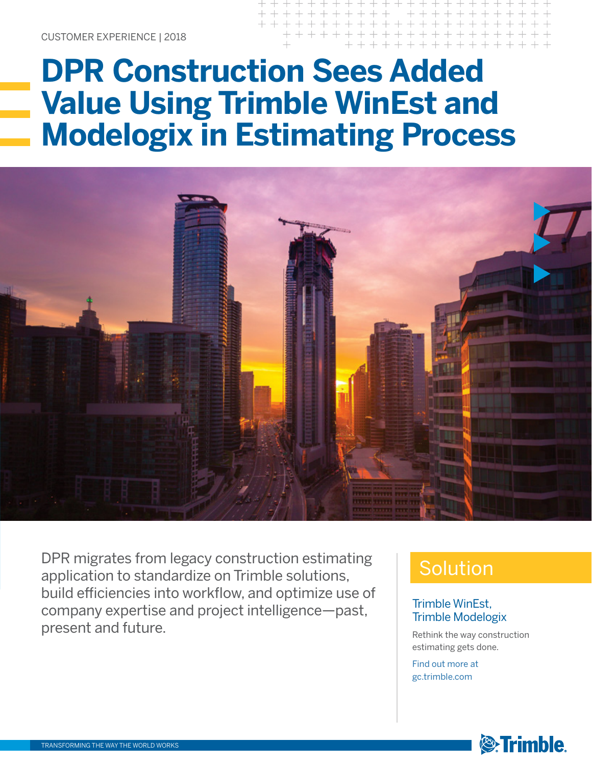## **DPR Construction Sees Added Value Using Trimble WinEst and Modelogix in Estimating Process**



DPR migrates from legacy construction estimating application to standardize on Trimble solutions, build efficiencies into workflow, and optimize use of company expertise and project intelligence—past, present and future.

## Solution

#### Trimble WinEst, Trimble Modelogix

Rethink the way construction estimating gets done.

Find out more at gc.trimble.com

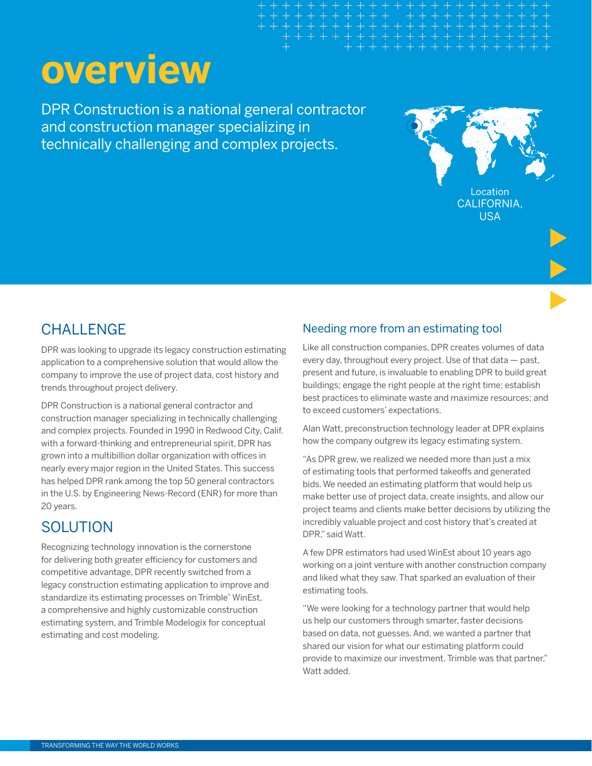# **overview**

DPR Construction is a national general contractor and construction manager specializing in technically challenging and complex projects.



## CHALLENGE

DPR was looking to upgrade its legacy construction estimating application to a comprehensive solution that would allow the company to improve the use of project data, cost history and trends throughout project delivery.

DPR Construction is a national general contractor and construction manager specializing in technically challenging and complex projects. Founded in 1990 in Redwood City, Calif. with a forward-thinking and entrepreneurial spirit, DPR has grown into a multibillion dollar organization with offices in nearly every major region in the United States. This success has helped DPR rank among the top 50 general contractors in the U.S. by Engineering News-Record (ENR) for more than 20 years.

## **SOLUTION**

Recognizing technology innovation is the cornerstone for delivering both greater efficiency for customers and competitive advantage, DPR recently switched from a legacy construction estimating application to improve and standardize its estimating processes on Trimble® WinEst, a comprehensive and highly customizable construction estimating system, and Trimble Modelogix for conceptual estimating and cost modeling.

#### Needing more from an estimating tool

Like all construction companies, DPR creates volumes of data every day, throughout every project. Use of that data — past, present and future, is invaluable to enabling DPR to build great buildings; engage the right people at the right time; establish best practices to eliminate waste and maximize resources; and to exceed customers' expectations.

Alan Watt, preconstruction technology leader at DPR explains how the company outgrew its legacy estimating system.

"As DPR grew, we realized we needed more than just a mix of estimating tools that performed takeoffs and generated bids. We needed an estimating platform that would help us make better use of project data, create insights, and allow our project teams and clients make better decisions by utilizing the incredibly valuable project and cost history that's created at DPR," said Watt.

A few DPR estimators had used WinEst about 10 years ago working on a joint venture with another construction company and liked what they saw. That sparked an evaluation of their estimating tools.

"We were looking for a technology partner that would help us help our customers through smarter, faster decisions based on data, not guesses. And, we wanted a partner that shared our vision for what our estimating platform could provide to maximize our investment. Trimble was that partner," Watt added.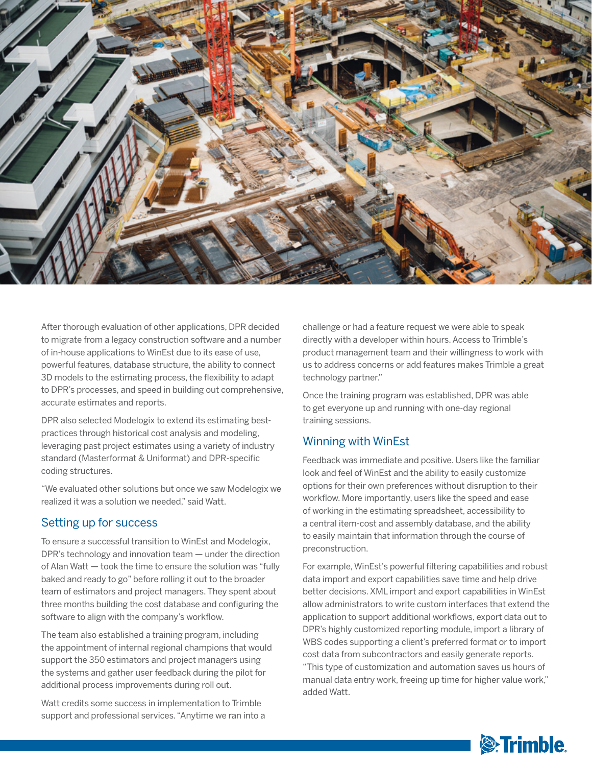

After thorough evaluation of other applications, DPR decided to migrate from a legacy construction software and a number of in-house applications to WinEst due to its ease of use, powerful features, database structure, the ability to connect 3D models to the estimating process, the flexibility to adapt to DPR's processes, and speed in building out comprehensive, accurate estimates and reports.

DPR also selected Modelogix to extend its estimating bestpractices through historical cost analysis and modeling, leveraging past project estimates using a variety of industry standard (Masterformat & Uniformat) and DPR-specific coding structures.

"We evaluated other solutions but once we saw Modelogix we realized it was a solution we needed," said Watt.

#### Setting up for success

To ensure a successful transition to WinEst and Modelogix, DPR's technology and innovation team — under the direction of Alan Watt — took the time to ensure the solution was "fully baked and ready to go" before rolling it out to the broader team of estimators and project managers. They spent about three months building the cost database and configuring the software to align with the company's workflow.

The team also established a training program, including the appointment of internal regional champions that would support the 350 estimators and project managers using the systems and gather user feedback during the pilot for additional process improvements during roll out.

Watt credits some success in implementation to Trimble support and professional services. "Anytime we ran into a challenge or had a feature request we were able to speak directly with a developer within hours. Access to Trimble's product management team and their willingness to work with us to address concerns or add features makes Trimble a great technology partner."

Once the training program was established, DPR was able to get everyone up and running with one-day regional training sessions.

#### Winning with WinEst

Feedback was immediate and positive. Users like the familiar look and feel of WinEst and the ability to easily customize options for their own preferences without disruption to their workflow. More importantly, users like the speed and ease of working in the estimating spreadsheet, accessibility to a central item-cost and assembly database, and the ability to easily maintain that information through the course of preconstruction.

For example, WinEst's powerful filtering capabilities and robust data import and export capabilities save time and help drive better decisions. XML import and export capabilities in WinEst allow administrators to write custom interfaces that extend the application to support additional workflows, export data out to DPR's highly customized reporting module, import a library of WBS codes supporting a client's preferred format or to import cost data from subcontractors and easily generate reports. "This type of customization and automation saves us hours of manual data entry work, freeing up time for higher value work," added Watt.